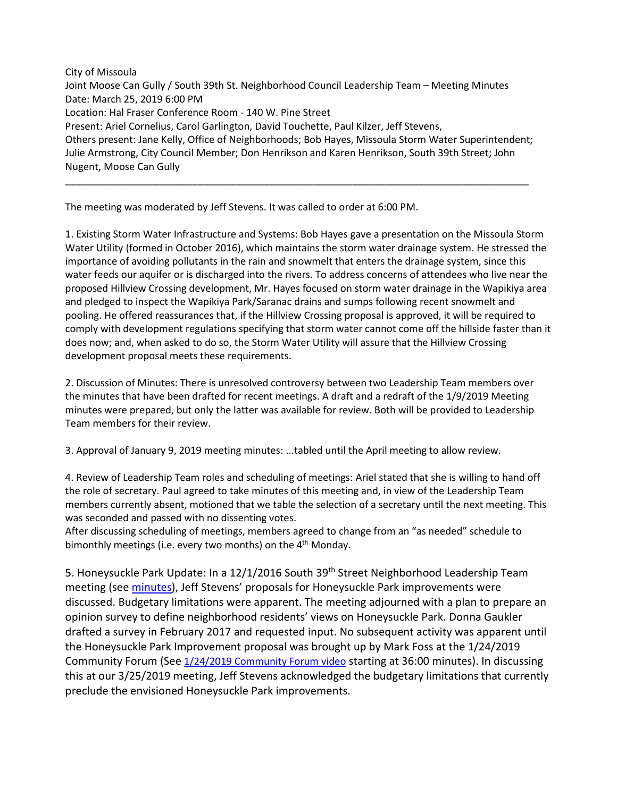City of Missoula Joint Moose Can Gully / South 39th St. Neighborhood Council Leadership Team – Meeting Minutes Date: March 25, 2019 6:00 PM Location: Hal Fraser Conference Room - 140 W. Pine Street Present: Ariel Cornelius, Carol Garlington, David Touchette, Paul Kilzer, Jeff Stevens, Others present: Jane Kelly, Office of Neighborhoods; Bob Hayes, Missoula Storm Water Superintendent; Julie Armstrong, City Council Member; Don Henrikson and Karen Henrikson, South 39th Street; John Nugent, Moose Can Gully

\_\_\_\_\_\_\_\_\_\_\_\_\_\_\_\_\_\_\_\_\_\_\_\_\_\_\_\_\_\_\_\_\_\_\_\_\_\_\_\_\_\_\_\_\_\_\_\_\_\_\_\_\_\_\_\_\_\_\_\_\_\_\_\_\_\_\_\_\_\_\_\_\_\_\_\_\_\_\_\_\_\_\_\_

The meeting was moderated by Jeff Stevens. It was called to order at 6:00 PM.

1. Existing Storm Water Infrastructure and Systems: Bob Hayes gave a presentation on the Missoula Storm Water Utility (formed in October 2016), which maintains the storm water drainage system. He stressed the importance of avoiding pollutants in the rain and snowmelt that enters the drainage system, since this water feeds our aquifer or is discharged into the rivers. To address concerns of attendees who live near the proposed Hillview Crossing development, Mr. Hayes focused on storm water drainage in the Wapikiya area and pledged to inspect the Wapikiya Park/Saranac drains and sumps following recent snowmelt and pooling. He offered reassurances that, if the Hillview Crossing proposal is approved, it will be required to comply with development regulations specifying that storm water cannot come off the hillside faster than it does now; and, when asked to do so, the Storm Water Utility will assure that the Hillview Crossing development proposal meets these requirements.

2. Discussion of Minutes: There is unresolved controversy between two Leadership Team members over the minutes that have been drafted for recent meetings. A draft and a redraft of the 1/9/2019 Meeting minutes were prepared, but only the latter was available for review. Both will be provided to Leadership Team members for their review.

3. Approval of January 9, 2019 meeting minutes: ...tabled until the April meeting to allow review.

4. Review of Leadership Team roles and scheduling of meetings: Ariel stated that she is willing to hand off the role of secretary. Paul agreed to take minutes of this meeting and, in view of the Leadership Team members currently absent, motioned that we table the selection of a secretary until the next meeting. This was seconded and passed with no dissenting votes.

After discussing scheduling of meetings, members agreed to change from an "as needed" schedule to bimonthly meetings (i.e. every two months) on the  $4<sup>th</sup>$  Monday.

5. Honeysuckle Park Update: In a 12/1/2016 South 39<sup>th</sup> Street Neighborhood Leadership Team meeting (see [minutes\)](https://www.ci.missoula.mt.us/ArchiveCenter/ViewFile/Item/10945), Jeff Stevens' proposals for Honeysuckle Park improvements were discussed. Budgetary limitations were apparent. The meeting adjourned with a plan to prepare an opinion survey to define neighborhood residents' views on Honeysuckle Park. Donna Gaukler drafted a survey in February 2017 and requested input. No subsequent activity was apparent until the Honeysuckle Park Improvement proposal was brought up by Mark Foss at the 1/24/2019 Community Forum (Se[e 1/24/2019 Community Forum video](http://video2.siretech.net/SIRE/MissoulaCity/Community%20Forum/2929/2929.mp3) starting at 36:00 minutes). In discussing this at our 3/25/2019 meeting, Jeff Stevens acknowledged the budgetary limitations that currently preclude the envisioned Honeysuckle Park improvements.